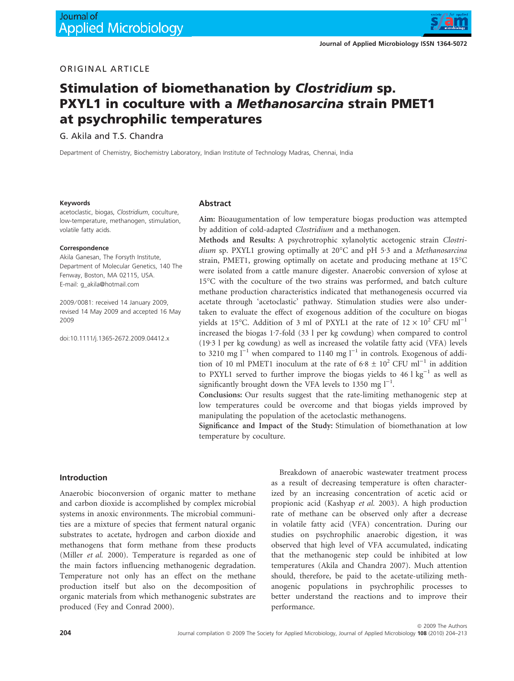

# ORIGINAL ARTICLE

# Stimulation of biomethanation by Clostridium sp. PXYL1 in coculture with a Methanosarcina strain PMET1 at psychrophilic temperatures

G. Akila and T.S. Chandra

Department of Chemistry, Biochemistry Laboratory, Indian Institute of Technology Madras, Chennai, India

#### Keywords

acetoclastic, biogas, Clostridium, coculture, low-temperature, methanogen, stimulation, volatile fatty acids.

#### Correspondence

Akila Ganesan, The Forsyth Institute, Department of Molecular Genetics, 140 The Fenway, Boston, MA 02115, USA. E-mail: g\_akila@hotmail.com

2009 ⁄ 0081: received 14 January 2009, revised 14 May 2009 and accepted 16 May 2009

doi:10.1111/j.1365-2672.2009.04412.x

#### Abstract

Aim: Bioaugumentation of low temperature biogas production was attempted by addition of cold-adapted *Clostridium* and a methanogen.

Methods and Results: A psychrotrophic xylanolytic acetogenic strain *Clostri*dium sp. PXYL1 growing optimally at 20°C and pH 5<sup>-3</sup> and a *Methanosarcina* strain, PMET1, growing optimally on acetate and producing methane at 15°C were isolated from a cattle manure digester. Anaerobic conversion of xylose at 15°C with the coculture of the two strains was performed, and batch culture methane production characteristics indicated that methanogenesis occurred via acetate through 'acetoclastic' pathway. Stimulation studies were also undertaken to evaluate the effect of exogenous addition of the coculture on biogas yields at 15°C. Addition of 3 ml of PXYL1 at the rate of  $12 \times 10^2$  CFU ml<sup>-1</sup> increased the biogas 1.7-fold (33 l per kg cowdung) when compared to control  $(19.3 1$  per kg cowdung) as well as increased the volatile fatty acid (VFA) levels to 3210 mg  $I^{-1}$  when compared to 1140 mg  $I^{-1}$  in controls. Exogenous of addition of 10 ml PMET1 inoculum at the rate of  $6.8 \pm 10^2$  CFU ml<sup>-1</sup> in addition to PXYL1 served to further improve the biogas yields to  $46 \text{ l kg}^{-1}$  as well as significantly brought down the VFA levels to  $1350$  mg  $l^{-1}$ .

Conclusions: Our results suggest that the rate-limiting methanogenic step at low temperatures could be overcome and that biogas yields improved by manipulating the population of the acetoclastic methanogens.

Significance and Impact of the Study: Stimulation of biomethanation at low temperature by coculture.

## Introduction

Anaerobic bioconversion of organic matter to methane and carbon dioxide is accomplished by complex microbial systems in anoxic environments. The microbial communities are a mixture of species that ferment natural organic substrates to acetate, hydrogen and carbon dioxide and methanogens that form methane from these products (Miller *et al.* 2000). Temperature is regarded as one of the main factors influencing methanogenic degradation. Temperature not only has an effect on the methane production itself but also on the decomposition of organic materials from which methanogenic substrates are produced (Fey and Conrad 2000).

Breakdown of anaerobic wastewater treatment process as a result of decreasing temperature is often characterized by an increasing concentration of acetic acid or propionic acid (Kashyap *et al.* 2003). A high production rate of methane can be observed only after a decrease in volatile fatty acid (VFA) concentration. During our studies on psychrophilic anaerobic digestion, it was observed that high level of VFA accumulated, indicating that the methanogenic step could be inhibited at low temperatures (Akila and Chandra 2007). Much attention should, therefore, be paid to the acetate-utilizing methanogenic populations in psychrophilic processes to better understand the reactions and to improve their performance.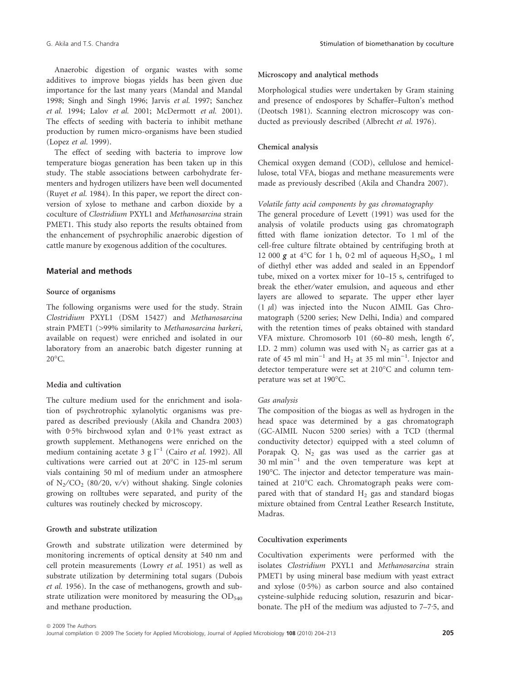Anaerobic digestion of organic wastes with some additives to improve biogas yields has been given due importance for the last many years (Mandal and Mandal 1998; Singh and Singh 1996; Jarvis *et al.* 1997; Sanchez *et al.* 1994; Lalov *et al.* 2001; McDermott *et al.* 2001). The effects of seeding with bacteria to inhibit methane production by rumen micro-organisms have been studied (Lopez *et al.* 1999).

The effect of seeding with bacteria to improve low temperature biogas generation has been taken up in this study. The stable associations between carbohydrate fermenters and hydrogen utilizers have been well documented (Ruyet *et al.* 1984). In this paper, we report the direct conversion of xylose to methane and carbon dioxide by a coculture of *Clostridium* PXYL1 and *Methanosarcina* strain PMET1. This study also reports the results obtained from the enhancement of psychrophilic anaerobic digestion of cattle manure by exogenous addition of the cocultures.

## Material and methods

# Source of organisms

The following organisms were used for the study. Strain *Clostridium* PXYL1 (DSM 15427) and *Methanosarcina* strain PMET1 (>99% similarity to *Methanosarcina barkeri*, available on request) were enriched and isolated in our laboratory from an anaerobic batch digester running at  $20^{\circ}$ C.

## Media and cultivation

The culture medium used for the enrichment and isolation of psychrotrophic xylanolytic organisms was prepared as described previously (Akila and Chandra 2003) with  $0.5\%$  birchwood xylan and  $0.1\%$  yeast extract as growth supplement. Methanogens were enriched on the medium containing acetate  $3 \text{ g l}^{-1}$  (Cairo *et al.* 1992). All cultivations were carried out at 20°C in 125-ml serum vials containing 50 ml of medium under an atmosphere of  $N_2$ /CO<sub>2</sub> (80/20, v/v) without shaking. Single colonies growing on rolltubes were separated, and purity of the cultures was routinely checked by microscopy.

## Growth and substrate utilization

Growth and substrate utilization were determined by monitoring increments of optical density at 540 nm and cell protein measurements (Lowry *et al.* 1951) as well as substrate utilization by determining total sugars (Dubois *et al.* 1956). In the case of methanogens, growth and substrate utilization were monitored by measuring the  $OD_{540}$ and methane production.

## Microscopy and analytical methods

Morphological studies were undertaken by Gram staining and presence of endospores by Schaffer–Fulton's method (Deotsch 1981). Scanning electron microscopy was conducted as previously described (Albrecht *et al.* 1976).

## Chemical analysis

Chemical oxygen demand (COD), cellulose and hemicellulose, total VFA, biogas and methane measurements were made as previously described (Akila and Chandra 2007).

## *Volatile fatty acid components by gas chromatography*

The general procedure of Levett (1991) was used for the analysis of volatile products using gas chromatograph fitted with flame ionization detector. To 1 ml of the cell-free culture filtrate obtained by centrifuging broth at 12 000  $g$  at 4°C for 1 h, 0·2 ml of aqueous H<sub>2</sub>SO<sub>4</sub>, 1 ml of diethyl ether was added and sealed in an Eppendorf tube, mixed on a vortex mixer for 10–15 s, centrifuged to break the ether⁄water emulsion, and aqueous and ether layers are allowed to separate. The upper ether layer  $(1 \mu l)$  was injected into the Nucon AIMIL Gas Chromatograph (5200 series; New Delhi, India) and compared with the retention times of peaks obtained with standard VFA mixture. Chromosorb 101 (60–80 mesh, length 6¢, I.D. 2 mm) column was used with  $N_2$  as carrier gas at a rate of 45 ml min<sup>-1</sup> and  $H_2$  at 35 ml min<sup>-1</sup>. Injector and detector temperature were set at 210°C and column temperature was set at 190°C.

#### *Gas analysis*

The composition of the biogas as well as hydrogen in the head space was determined by a gas chromatograph (GC-AIMIL Nucon 5200 series) with a TCD (thermal conductivity detector) equipped with a steel column of Porapak Q.  $N_2$  gas was used as the carrier gas at  $30 \text{ mi min}^{-1}$  and the oven temperature was kept at 190°C. The injector and detector temperature was maintained at 210°C each. Chromatograph peaks were compared with that of standard  $H_2$  gas and standard biogas mixture obtained from Central Leather Research Institute, Madras.

#### Cocultivation experiments

Cocultivation experiments were performed with the isolates *Clostridium* PXYL1 and *Methanosarcina* strain PMET1 by using mineral base medium with yeast extract and xylose  $(0.5\%)$  as carbon source and also contained cysteine-sulphide reducing solution, resazurin and bicarbonate. The pH of the medium was adjusted to  $7-7.5$ , and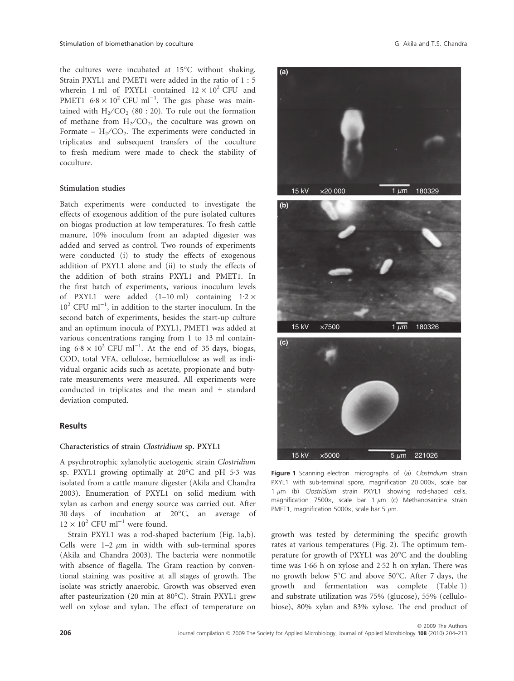the cultures were incubated at 15°C without shaking. Strain PXYL1 and PMET1 were added in the ratio of 1 : 5 wherein 1 ml of PXYL1 contained  $12 \times 10^2$  CFU and PMET1  $6.8 \times 10^2$  CFU ml<sup>-1</sup>. The gas phase was maintained with  $H_2/CO_2$  (80 : 20). To rule out the formation of methane from  $H_2/CO_2$ , the coculture was grown on Formate –  $H_2/CO_2$ . The experiments were conducted in triplicates and subsequent transfers of the coculture to fresh medium were made to check the stability of coculture.

## Stimulation studies

Batch experiments were conducted to investigate the effects of exogenous addition of the pure isolated cultures on biogas production at low temperatures. To fresh cattle manure, 10% inoculum from an adapted digester was added and served as control. Two rounds of experiments were conducted (i) to study the effects of exogenous addition of PXYL1 alone and (ii) to study the effects of the addition of both strains PXYL1 and PMET1. In the first batch of experiments, various inoculum levels of PXYL1 were added  $(1-10 \text{ ml})$  containing  $1.2 \times$  $10^2$  CFU ml<sup>-1</sup>, in addition to the starter inoculum. In the second batch of experiments, besides the start-up culture and an optimum inocula of PXYL1, PMET1 was added at various concentrations ranging from 1 to 13 ml containing  $6.8 \times 10^2$  CFU ml<sup>-1</sup>. At the end of 35 days, biogas, COD, total VFA, cellulose, hemicellulose as well as individual organic acids such as acetate, propionate and butyrate measurements were measured. All experiments were conducted in triplicates and the mean and ± standard deviation computed.

## Results

## Characteristics of strain Clostridium sp. PXYL1

A psychrotrophic xylanolytic acetogenic strain *Clostridium* sp. PXYL1 growing optimally at 20°C and pH 5.3 was isolated from a cattle manure digester (Akila and Chandra 2003). Enumeration of PXYL1 on solid medium with xylan as carbon and energy source was carried out. After 30 days of incubation at 20°C, an average of  $12 \times 10^2$  CFU ml<sup>-1</sup> were found.

Strain PXYL1 was a rod-shaped bacterium (Fig. 1a,b). Cells were  $1-2 \mu m$  in width with sub-terminal spores (Akila and Chandra 2003). The bacteria were nonmotile with absence of flagella. The Gram reaction by conventional staining was positive at all stages of growth. The isolate was strictly anaerobic. Growth was observed even after pasteurization (20 min at 80°C). Strain PXYL1 grew well on xylose and xylan. The effect of temperature on



Figure 1 Scanning electron micrographs of (a) Clostridium strain PXYL1 with sub-terminal spore, magnification 20 000x, scale bar 1  $\mu$ m (b) Clostridium strain PXYL1 showing rod-shaped cells, magnification 7500 $\times$ , scale bar 1  $\mu$ m (c) Methanosarcina strain PMET1, magnification 5000 $\times$ , scale bar 5  $\mu$ m.

growth was tested by determining the specific growth rates at various temperatures (Fig. 2). The optimum temperature for growth of PXYL1 was 20°C and the doubling time was  $1.66$  h on xylose and  $2.52$  h on xylan. There was no growth below 5°C and above 50°C. After 7 days, the growth and fermentation was complete (Table 1) and substrate utilization was 75% (glucose), 55% (cellulobiose), 80% xylan and 83% xylose. The end product of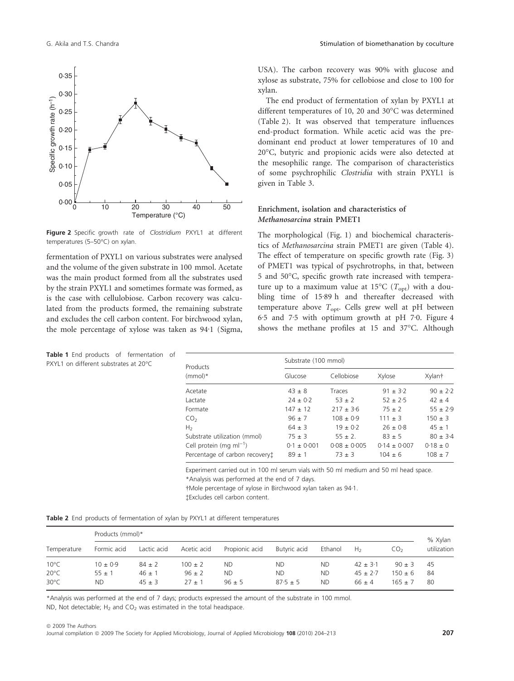

Figure 2 Specific growth rate of Clostridium PXYL1 at different temperatures (5-50°C) on xylan.

fermentation of PXYL1 on various substrates were analysed and the volume of the given substrate in 100 mmol. Acetate was the main product formed from all the substrates used by the strain PXYL1 and sometimes formate was formed, as is the case with cellulobiose. Carbon recovery was calculated from the products formed, the remaining substrate and excludes the cell carbon content. For birchwood xylan, the mole percentage of xylose was taken as 94·1 (Sigma,

Table 1 End products of fermentation of PXYL1 on different substrates at 20°C

USA). The carbon recovery was 90% with glucose and xylose as substrate, 75% for cellobiose and close to 100 for xylan.

The end product of fermentation of xylan by PXYL1 at different temperatures of 10, 20 and 30°C was determined (Table 2). It was observed that temperature influences end-product formation. While acetic acid was the predominant end product at lower temperatures of 10 and 20°C, butyric and propionic acids were also detected at the mesophilic range. The comparison of characteristics of some psychrophilic *Clostridia* with strain PXYL1 is given in Table 3.

# Enrichment, isolation and characteristics of Methanosarcina strain PMET1

The morphological (Fig. 1) and biochemical characteristics of *Methanosarcina* strain PMET1 are given (Table 4). The effect of temperature on specific growth rate (Fig. 3) of PMET1 was typical of psychrotrophs, in that, between 5 and 50°C, specific growth rate increased with temperature up to a maximum value at 15°C (T<sub>opt</sub>) with a doubling time of 15.89 h and thereafter decreased with temperature above T<sub>opt</sub>. Cells grew well at pH between 6.5 and 7.5 with optimum growth at pH 7.0. Figure 4 shows the methane profiles at 15 and 37°C. Although

| tation<br>-OT<br>C | Products                       | Substrate (100 mmol) |                |                  |              |
|--------------------|--------------------------------|----------------------|----------------|------------------|--------------|
|                    | $(mmol)^*$                     | Glucose              | Cellobiose     | Xylose           | Xylant       |
|                    | Acetate                        | $43 \pm 8$           | Traces         | $91 \pm 3.2$     | $90 \pm 2.2$ |
|                    | Lactate                        | $24 \pm 0.2$         | $53 + 2$       | $52 + 2.5$       | $42 \pm 4$   |
|                    | Formate                        | $147 \pm 12$         | $217 \pm 3.6$  | $75 \pm 2$       | $55 \pm 2.9$ |
|                    | CO <sub>2</sub>                | $96 \pm 7$           | $108 + 0.9$    | $111 \pm 3$      | $150 \pm 3$  |
|                    | H <sub>2</sub>                 | $64 \pm 3$           | $19 \pm 0.2$   | $26 \pm 0.8$     | $45 \pm 1$   |
|                    | Substrate utilization (mmol)   | $75 + 3$             | $55 \pm 2$ .   | $83 + 5$         | $80 + 3.4$   |
|                    | Cell protein (mg m $I^{-1}$ )  | $0.1 \pm 0.001$      | $0.08 + 0.005$ | $0.14 \pm 0.007$ | $0.18 \pm 0$ |
|                    | Percentage of carbon recovery: | $89 \pm 1$           | $73 + 3$       | $104 \pm 6$      | $108 \pm 7$  |
|                    |                                |                      |                |                  |              |

Experiment carried out in 100 ml serum vials with 50 ml medium and 50 ml head space. \*Analysis was performed at the end of 7 days.

†Mole percentage of xylose in Birchwood xylan taken as 94·1.

Excludes cell carbon content.

|  |  |  |  |  |  |  |  | <b>Table 2</b> End products of fermentation of xylan by PXYL1 at different temperatures |
|--|--|--|--|--|--|--|--|-----------------------------------------------------------------------------------------|
|--|--|--|--|--|--|--|--|-----------------------------------------------------------------------------------------|

|                | Products (mmol)* |             |             |                |              |           |                |                 | % Xylan     |
|----------------|------------------|-------------|-------------|----------------|--------------|-----------|----------------|-----------------|-------------|
| Temperature    | Formic acid      | Lactic acid | Acetic acid | Propionic acid | Butyric acid | Ethanol   | H <sub>2</sub> | CO <sub>2</sub> | utilization |
| $10^{\circ}$ C | $10 \pm 0.9$     | $84 \pm 2$  | $100 \pm 2$ | <b>ND</b>      | <b>ND</b>    | <b>ND</b> | $42 \pm 3.1$   | $90 \pm 3$      | 45          |
| $20^{\circ}$ C | $55 \pm 1$       | $46 \pm 1$  | $96 \pm 2$  | <b>ND</b>      | <b>ND</b>    | <b>ND</b> | $45 \pm 2.7$   | $150 \pm 6$     | 84          |
| $30^{\circ}$ C | ND.              | $45 \pm 3$  | $27 + 1$    | $96 \pm 5$     | $87.5 \pm 5$ | <b>ND</b> | $66 \pm 4$     | $165 + 7$       | 80          |

\*Analysis was performed at the end of 7 days; products expressed the amount of the substrate in 100 mmol. ND, Not detectable;  $H_2$  and  $CO_2$  was estimated in the total headspace.

ª 2009 The Authors

Journal compilation @ 2009 The Society for Applied Microbiology, Journal of Applied Microbiology 108 (2010) 204-213 207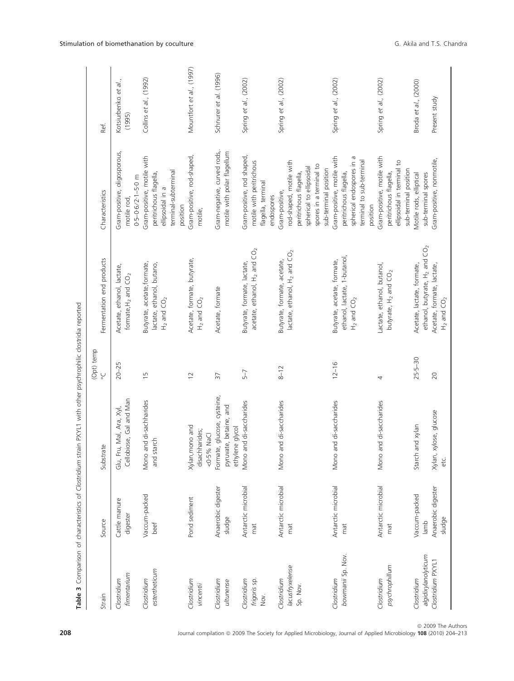| Strain                                                  | Source                                                | Substrate                                                                | (Opt) temp<br>$\mathop{\cup}\limits_{\circ}$ | Fermentation end products                                                                                                             | Characteristics                                                                                                                                     | Ref.                                  |
|---------------------------------------------------------|-------------------------------------------------------|--------------------------------------------------------------------------|----------------------------------------------|---------------------------------------------------------------------------------------------------------------------------------------|-----------------------------------------------------------------------------------------------------------------------------------------------------|---------------------------------------|
| fimentarium<br>Clostridium                              | Cattle manure<br>digester                             | Cellobiose, Gal and Man<br>Glu, Fru, Mal, Ara, Xyl                       | $20 - 25$                                    | Acetate, ethanol, lactate,<br>formate, $H_2$ and $CO_2$                                                                               | Gram-positive, oligosporous,<br>$0.5 - 0.6/2.1 - 5.0$ m<br>motile rod                                                                               | Kotsiurbenko et al.,<br>(1995)        |
| estertheticum<br>Clostridium                            | Vaccum-packed<br>beef                                 | Mono and di-sachharides<br>and starch                                    | 15                                           | Butyrate, acetate, formate,<br>lactate, ethanol, butano,<br>$H_2$ and $CO_2$                                                          | Gram-positive, motile with<br>terminal-subterminal<br>peritrichous flagella,<br>ellipsoidal in a<br>position                                        | Collins et al., (1992)                |
| Clostridium<br>vincentii                                | Pond sediment                                         | Xylan, mono and<br>disachharides;<br><0.5% NaCl                          | $\overline{2}$                               | Acetate, formate, butyrate,<br>$H_2$ and $CO_2$                                                                                       | Gram-positive, rod-shaped,<br>motile,                                                                                                               | Mountfort et al., (1997)              |
| Clostridium<br>ultunense                                | Anaerobic digester<br>sludge                          | Formate, glucose, cysteine,<br>pyruvate, betaine, and<br>ethylene glycol | 37                                           | Acetate, formate                                                                                                                      | Gram-negative, curved rods,.<br>motile with polar flagellum                                                                                         | Schnurer et al. (1996)                |
| Clostridium<br>frigoris sp.<br>Nov.                     | Antarctic microbial<br>mat                            | Mono and di-saccharides                                                  | $5 - 7$                                      | acetate, ethanol, H <sub>2</sub> and CO <sub>2</sub><br>Butyrate, formate, lactate,                                                   | Gram-positive, rod shaped,<br>motile with peritrichous<br>flagella, terminal<br>endospores                                                          | Spring et al., (2002)                 |
| lacusfryxelense<br>Clostridium<br>Sp. Nov.              | Antarctic microbial<br>mat                            | and di-saccharides<br>Mono                                               | $8 - 12$                                     | lactate, ethanol, $H_2$ and $CO_2$<br>Butyrate, formate, acetate,                                                                     | rod-shaped, motile with<br>spores in a terminal to<br>spherical to ellipsoidal<br>sub-terminal position<br>peritrichous flagella,<br>Gram-positive, | Spring et al., (2002)                 |
| bowmanii Sp. Nov.<br>Clostridium                        | Antarctic microbial<br>mat                            | and di-saccharides<br>Mono                                               | $12 - 16$                                    | ethanol, lactate, 1-butanol,<br>Butyrate, acetate, formate,<br>$H_2$ and $CO_2$                                                       | Gram-positive, motile with<br>spherical endospores in a<br>terminal to sub-terminal<br>peritrichous flagella,<br>position                           | Spring et al., (2002)                 |
| psychrophillum<br>Clostridium                           | Antarctic microbial<br>mat                            | and di-saccharides<br>Mono                                               | 4                                            | Lactate, ethanol, butanol,<br>butyrate, H <sub>2</sub> and CO <sub>2</sub>                                                            | Gram-positive, motile with<br>ellipsoidal in terminal to<br>sub-terminal position<br>peritrichous flagella,                                         | Spring et al., (2002)                 |
| algidixylanolyticum<br>Clostridium PXYL1<br>Clostridium | Anaerobic digester<br>Vaccum-packed<br>sludge<br>lamb | xylose, glucose<br>and xylan<br>Starch<br>Xylan,<br>etc.                 | $25 - 30$<br>20                              | ethanol, butyrate, H <sub>2</sub> and CO <sub>2</sub><br>Acetate, lactate, formate,<br>Acetate, formate, lactate,<br>$H_2$ and $CO_2$ | Gram-positive, nonmotile,<br>sub-terminal spores<br>Motile rods, elliptical                                                                         | Broda et al., (2000)<br>Present study |

208 Journal compilation @ 2009 The Society for Applied Microbiology, Journal of Applied Microbiology 108 (2010) 204-213

ª 2009 The Authors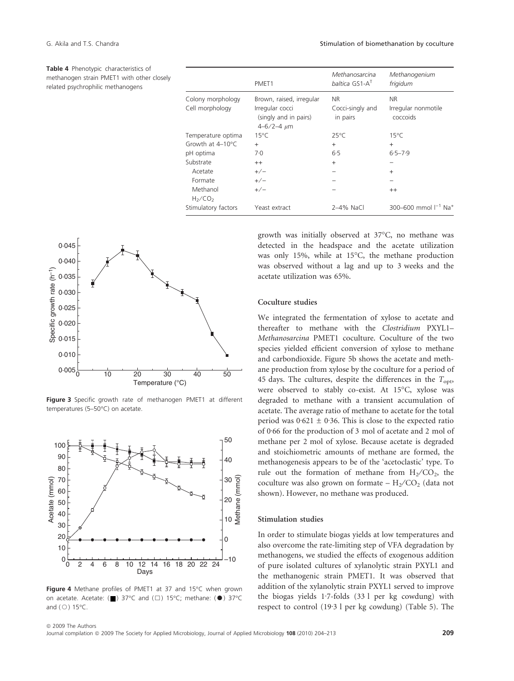Table 4 Phenotypic characteristics of methanogen strain PMET1 with other closely related psychrophilic methanogens

| 0.045<br>0.040                                                                                                                                                                                                                                                                                                                                       |                                                                                                    |
|------------------------------------------------------------------------------------------------------------------------------------------------------------------------------------------------------------------------------------------------------------------------------------------------------------------------------------------------------|----------------------------------------------------------------------------------------------------|
| $\frac{1}{2}$<br>$\frac{1}{2}$<br>$\frac{1}{2}$<br>$\frac{1}{2}$<br>$\frac{1}{2}$<br>$\frac{1}{2}$<br>$\frac{1}{2}$<br>$\frac{1}{2}$<br>$\frac{1}{2}$<br>$\frac{1}{2}$<br>$\frac{1}{2}$<br>$\frac{1}{2}$<br>$\frac{1}{2}$<br>$\frac{1}{2}$<br>$\frac{1}{2}$<br>$\frac{1}{2}$<br>$\frac{1}{2}$<br>$\frac{1}{2}$<br>$\frac{1}{2}$<br>$\frac{1}{2}$<br> |                                                                                                    |
|                                                                                                                                                                                                                                                                                                                                                      |                                                                                                    |
|                                                                                                                                                                                                                                                                                                                                                      |                                                                                                    |
|                                                                                                                                                                                                                                                                                                                                                      |                                                                                                    |
|                                                                                                                                                                                                                                                                                                                                                      |                                                                                                    |
| 0.010                                                                                                                                                                                                                                                                                                                                                |                                                                                                    |
| $0.005\frac{L}{0}$                                                                                                                                                                                                                                                                                                                                   | $\overline{20}$<br>$\overline{40}$<br>$\overline{50}$<br>10<br>$\overline{30}$<br>Temperature (°C) |

Figure 3 Specific growth rate of methanogen PMET1 at different temperatures (5-50°C) on acetate.



Figure 4 Methane profiles of PMET1 at 37 and 15°C when grown on acetate. Acetate:  $(\blacksquare)$  37°C and  $(\square)$  15°C; methane:  $(\lozenge)$  37°C and  $(O)$  15°C.

|                                      | PMET <sub>1</sub>                              | Methanosarcina<br>baltica GS1-A <sup>T</sup> | Methanogenium<br>frigidum             |
|--------------------------------------|------------------------------------------------|----------------------------------------------|---------------------------------------|
| Colony morphology<br>Cell morphology | Brown, raised, irregular<br>Irregular cocci    | NR.<br>Cocci-singly and                      | <b>NR</b><br>Irregular nonmotile      |
|                                      | (singly and in pairs)<br>$4 - 6/2 - 4$ $\mu$ m | in pairs                                     | coccoids                              |
| Temperature optima                   | $15^{\circ}$ C                                 | $25^{\circ}$ C                               | $15^{\circ}$ C                        |
| Growth at $4-10^{\circ}$ C           | $+$                                            | $+$                                          | $\ddot{}$                             |
| pH optima                            | 7.0                                            | 6.5                                          | $6.5 - 7.9$                           |
| Substrate                            | $++$                                           | $+$                                          |                                       |
| Acetate                              | $+/-$                                          |                                              | $+$                                   |
| Formate                              | $+/-$                                          |                                              |                                       |
| Methanol                             | $+/-$                                          |                                              | $^{++}$                               |
| H <sub>2</sub> /CO <sub>2</sub>      |                                                |                                              |                                       |
| Stimulatory factors                  | Yeast extract                                  | 2-4% NaCl                                    | 300-600 mmol $I^{-1}$ Na <sup>+</sup> |
|                                      |                                                |                                              |                                       |

acetate utilization was 65%.

Coculture studies



and carbondioxide. Figure 5b shows the acetate and methane production from xylose by the coculture for a period of 45 days. The cultures, despite the differences in the  $T_{\text{opt}}$ , were observed to stably co-exist. At 15°C, xylose was degraded to methane with a transient accumulation of acetate. The average ratio of methane to acetate for the total period was  $0.621 \pm 0.36$ . This is close to the expected ratio of 0.66 for the production of 3 mol of acetate and 2 mol of methane per 2 mol of xylose. Because acetate is degraded and stoichiometric amounts of methane are formed, the methanogenesis appears to be of the 'acetoclastic' type. To rule out the formation of methane from  $H_2/CO_2$ , the coculture was also grown on formate  $- H_2/CO_2$  (data not

shown). However, no methane was produced.

growth was initially observed at 37°C, no methane was detected in the headspace and the acetate utilization was only 15%, while at 15°C, the methane production was observed without a lag and up to 3 weeks and the

We integrated the fermentation of xylose to acetate and thereafter to methane with the *Clostridium* PXYL1– *Methanosarcina* PMET1 coculture. Coculture of the two species yielded efficient conversion of xylose to methane

## Stimulation studies

In order to stimulate biogas yields at low temperatures and also overcome the rate-limiting step of VFA degradation by methanogens, we studied the effects of exogenous addition of pure isolated cultures of xylanolytic strain PXYL1 and the methanogenic strain PMET1. It was observed that addition of the xylanolytic strain PXYL1 served to improve the biogas yields  $1.7$ -folds  $(331$  per kg cowdung) with respect to control (19.3 l per kg cowdung) (Table 5). The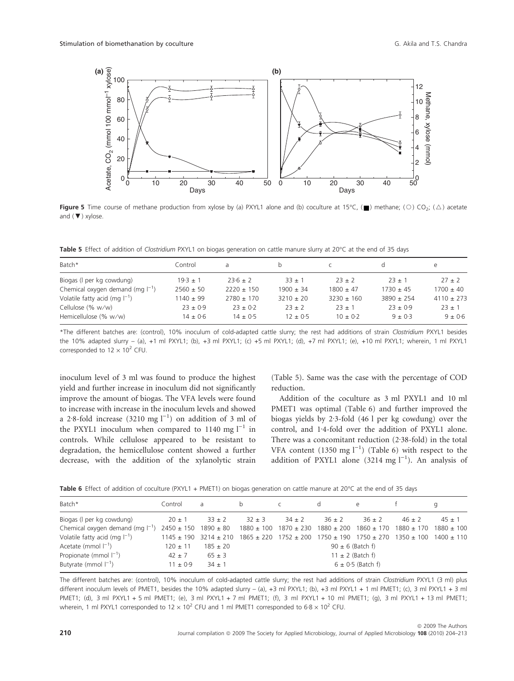

**Figure 5** Time course of methane production from xylose by (a) PXYL1 alone and (b) coculture at 15°C, ( $\blacksquare$ ) methane; (O) CO<sub>2</sub>; ( $\triangle$ ) acetate and  $(\blacktriangledown)$  xylose.

Table 5 Effect of addition of Clostridium PXYL1 on biogas generation on cattle manure slurry at 20°C at the end of 35 days

| Batch*                                | Control       | a.             | b             |                |                | e              |
|---------------------------------------|---------------|----------------|---------------|----------------|----------------|----------------|
| Biogas (I per kg cowdung)             | $19.3 \pm 1$  | $23.6 \pm 2$   | $33 + 1$      | $23 + 2$       | $73 + 1$       | $27 + 2$       |
| Chemical oxygen demand (mg $I^{-1}$ ) | $2560 + 50$   | $2220 \pm 150$ | $1900 + 34$   | $1800 \pm 47$  | $1730 \pm 45$  | $1700 \pm 40$  |
| Volatile fatty acid (mg $ ^{-1}$ )    | $1140 \pm 99$ | $2780 \pm 170$ | $3210 \pm 20$ | $3230 \pm 160$ | $3890 \pm 254$ | $4110 \pm 273$ |
| Cellulose (% w/w)                     | $23 \pm 0.9$  | $23 \pm 0.2$   | $23 + 2$      | $23 + 1$       | $23 + 0.9$     | $23 \pm 1$     |
| Hemicellulose (% w/w)                 | $14 \pm 0.6$  | $14 \pm 0.5$   | $12 \pm 0.5$  | $10 \pm 0.2$   | $9 + 0.3$      | $9 \pm 0.6$    |

\*The different batches are: (control), 10% inoculum of cold-adapted cattle slurry; the rest had additions of strain Clostridium PXYL1 besides the 10% adapted slurry – (a), +1 ml PXYL1; (b), +3 ml PXYL1; (c) +5 ml PXYL1; (d), +7 ml PXYL1; (e), +10 ml PXYL1; wherein, 1 ml PXYL1 corresponded to  $12 \times 10^2$  CFU.

inoculum level of 3 ml was found to produce the highest yield and further increase in inoculum did not significantly improve the amount of biogas. The VFA levels were found to increase with increase in the inoculum levels and showed a 2.8-fold increase  $(3210 \text{ mg l}^{-1})$  on addition of 3 ml of the PXYL1 inoculum when compared to 1140 mg  $l^{-1}$  in controls. While cellulose appeared to be resistant to degradation, the hemicellulose content showed a further decrease, with the addition of the xylanolytic strain

(Table 5). Same was the case with the percentage of COD reduction.

Addition of the coculture as 3 ml PXYL1 and 10 ml PMET1 was optimal (Table 6) and further improved the biogas yields by 2.3-fold (46 l per kg cowdung) over the control, and 1.4-fold over the addition of PXYL1 alone. There was a concomitant reduction  $(2.38-fold)$  in the total VFA content  $(1350 \text{ mg l}^{-1})$  (Table 6) with respect to the addition of PXYL1 alone  $(3214 \text{ mg l}^{-1})$ . An analysis of

|  |  |  |  |  |  |  |  |  |  |  | Table 6 Effect of addition of coculture (PXYL1 + PMET1) on biogas generation on cattle manure at 20°C at the end of 35 days |  |  |  |  |  |  |  |  |  |  |  |  |
|--|--|--|--|--|--|--|--|--|--|--|-----------------------------------------------------------------------------------------------------------------------------|--|--|--|--|--|--|--|--|--|--|--|--|
|--|--|--|--|--|--|--|--|--|--|--|-----------------------------------------------------------------------------------------------------------------------------|--|--|--|--|--|--|--|--|--|--|--|--|

| Batch*                                | Control        | a              | b                                                                          |                                              | d          | e                     |                |                |
|---------------------------------------|----------------|----------------|----------------------------------------------------------------------------|----------------------------------------------|------------|-----------------------|----------------|----------------|
| Biogas (I per kg cowdung)             | $20 \pm 1$     | $33 + 2$       | $32 + 3$                                                                   | $34 \pm 2$                                   | $36 \pm 2$ | $36 \pm 2$            | $46 + 2$       | $45 \pm 1$     |
| Chemical oxygen demand (mg $I^{-1}$ ) | $2450 \pm 150$ | $1890 \pm 80$  | $1880 \pm 100$                                                             | $1870 \pm 230$ $1880 \pm 200$ $1860 \pm 170$ |            |                       | $1880 \pm 170$ | $1880 \pm 100$ |
| Volatile fatty acid (mg $ ^{-1}$ )    | $1145 \pm 190$ | $3214 \pm 210$ | $1865 \pm 220$ $1752 \pm 200$ $1750 \pm 190$ $1750 \pm 270$ $1350 \pm 100$ |                                              |            |                       |                | $1400 \pm 110$ |
| Acetate (mmol $I^{-1}$ )              | $120 \pm 11$   | $185 \pm 20$   |                                                                            |                                              |            | $90 \pm 6$ (Batch f)  |                |                |
| Propionate (mmol $ ^{-1}$ )           | $42 \pm 7$     | $65 \pm 3$     |                                                                            |                                              |            | $11 \pm 2$ (Batch f)  |                |                |
| Butyrate (mmol $I^{-1}$ )             | $11 \pm 0.9$   | $34 \pm 1$     |                                                                            |                                              |            | $6 \pm 0.5$ (Batch f) |                |                |

The different batches are: (control), 10% inoculum of cold-adapted cattle slurry; the rest had additions of strain Clostridium PXYL1 (3 ml) plus different inoculum levels of PMET1, besides the 10% adapted slurry – (a), +3 ml PXYL1; (b), +3 ml PXYL1 + 1 ml PMET1; (c), 3 ml PXYL1 + 3 ml PMET1; (d), 3 ml PXYL1 + 5 ml PMET1; (e), 3 ml PXYL1 + 7 ml PMET1; (f), 3 ml PXYL1 + 10 ml PMET1; (g), 3 ml PXYL1 + 13 ml PMET1; wherein, 1 ml PXYL1 corresponded to  $12 \times 10^2$  CFU and 1 ml PMET1 corresponded to  $6.8 \times 10^2$  CFU.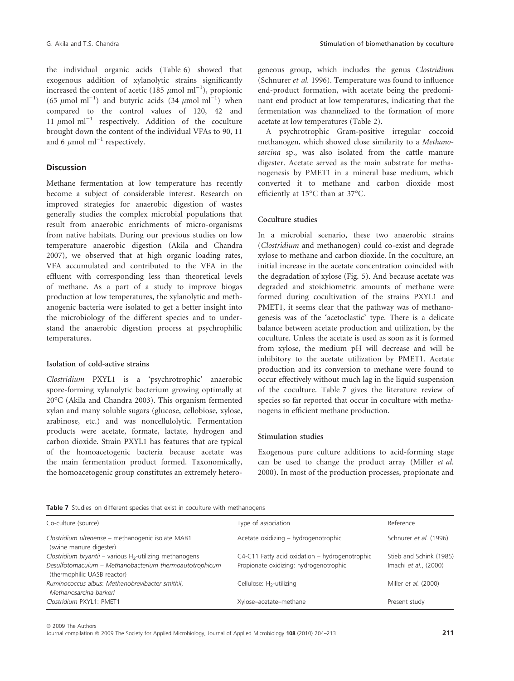the individual organic acids (Table 6) showed that exogenous addition of xylanolytic strains significantly increased the content of acetic (185  $\mu$ mol ml<sup>-1</sup>), propionic (65  $\mu$ mol ml<sup>-1</sup>) and butyric acids (34  $\mu$ mol ml<sup>-1</sup>) when compared to the control values of 120, 42 and 11  $\mu$ mol ml<sup>-1</sup> respectively. Addition of the coculture brought down the content of the individual VFAs to 90, 11 and 6  $\mu$ mol ml<sup>-1</sup> respectively.

## **Discussion**

Methane fermentation at low temperature has recently become a subject of considerable interest. Research on improved strategies for anaerobic digestion of wastes generally studies the complex microbial populations that result from anaerobic enrichments of micro-organisms from native habitats. During our previous studies on low temperature anaerobic digestion (Akila and Chandra 2007), we observed that at high organic loading rates, VFA accumulated and contributed to the VFA in the effluent with corresponding less than theoretical levels of methane. As a part of a study to improve biogas production at low temperatures, the xylanolytic and methanogenic bacteria were isolated to get a better insight into the microbiology of the different species and to understand the anaerobic digestion process at psychrophilic temperatures.

## Isolation of cold-active strains

*Clostridium* PXYL1 is a 'psychrotrophic' anaerobic spore-forming xylanolytic bacterium growing optimally at 20°C (Akila and Chandra 2003). This organism fermented xylan and many soluble sugars (glucose, cellobiose, xylose, arabinose, etc.) and was noncellulolytic. Fermentation products were acetate, formate, lactate, hydrogen and carbon dioxide. Strain PXYL1 has features that are typical of the homoacetogenic bacteria because acetate was the main fermentation product formed. Taxonomically, the homoacetogenic group constitutes an extremely heterogeneous group, which includes the genus *Clostridium* (Schnurer *et al.* 1996). Temperature was found to influence end-product formation, with acetate being the predominant end product at low temperatures, indicating that the fermentation was channelized to the formation of more acetate at low temperatures (Table 2).

A psychrotrophic Gram-positive irregular coccoid methanogen, which showed close similarity to a *Methanosarcina* sp., was also isolated from the cattle manure digester. Acetate served as the main substrate for methanogenesis by PMET1 in a mineral base medium, which converted it to methane and carbon dioxide most efficiently at 15°C than at 37°C.

## Coculture studies

In a microbial scenario, these two anaerobic strains (*Clostridium* and methanogen) could co-exist and degrade xylose to methane and carbon dioxide. In the coculture, an initial increase in the acetate concentration coincided with the degradation of xylose (Fig. 5). And because acetate was degraded and stoichiometric amounts of methane were formed during cocultivation of the strains PXYL1 and PMET1, it seems clear that the pathway was of methanogenesis was of the 'acetoclastic' type. There is a delicate balance between acetate production and utilization, by the coculture. Unless the acetate is used as soon as it is formed from xylose, the medium pH will decrease and will be inhibitory to the acetate utilization by PMET1. Acetate production and its conversion to methane were found to occur effectively without much lag in the liquid suspension of the coculture. Table 7 gives the literature review of species so far reported that occur in coculture with methanogens in efficient methane production.

## Stimulation studies

Exogenous pure culture additions to acid-forming stage can be used to change the product array (Miller *et al.* 2000). In most of the production processes, propionate and

|  |  |  |  |  |  |  |  |  |  | Table 7 Studies on different species that exist in coculture with methanogens |  |
|--|--|--|--|--|--|--|--|--|--|-------------------------------------------------------------------------------|--|
|--|--|--|--|--|--|--|--|--|--|-------------------------------------------------------------------------------|--|

| Co-culture (source)                                                                    | Type of association                            | Reference               |
|----------------------------------------------------------------------------------------|------------------------------------------------|-------------------------|
| Clostridium ultenense - methanogenic isolate MAB1<br>(swine manure digester)           | Acetate oxidizing - hydrogenotrophic           | Schnurer et al. (1996)  |
| Clostridium bryantii – various H <sub>2</sub> -utilizing methanogens                   | C4-C11 Fatty acid oxidation - hydrogenotrophic | Stieb and Schink (1985) |
| Desulfotomaculum - Methanobacterium thermoautotrophicum<br>(thermophilic UASB reactor) | Propionate oxidizing: hydrogenotrophic         | Imachi et al., (2000)   |
| Ruminococcus albus: Methanobrevibacter smithii,<br>Methanosarcina barkeri              | Cellulose: H <sub>2</sub> -utilizing           | Miller et al. (2000)    |
| Clostridium PXYL1: PMET1                                                               | Xylose-acetate-methane                         | Present study           |

ª 2009 The Authors

Journal compilation @ 2009 The Society for Applied Microbiology, Journal of Applied Microbiology 108 (2010) 204-213 211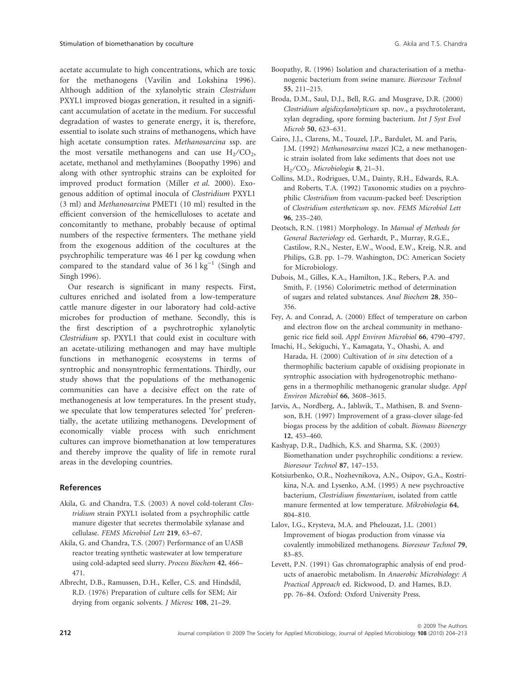acetate accumulate to high concentrations, which are toxic for the methanogens (Vavilin and Lokshina 1996). Although addition of the xylanolytic strain *Clostridum* PXYL1 improved biogas generation, it resulted in a significant accumulation of acetate in the medium. For successful degradation of wastes to generate energy, it is, therefore, essential to isolate such strains of methanogens, which have high acetate consumption rates. *Methanosarcina* ssp. are the most versatile methanogens and can use  $H_2/CO_2$ , acetate, methanol and methylamines (Boopathy 1996) and along with other syntrophic strains can be exploited for improved product formation (Miller *et al.* 2000). Exogenous addition of optimal inocula of *Clostridium* PXYL1 (3 ml) and *Methanosarcina* PMET1 (10 ml) resulted in the efficient conversion of the hemicelluloses to acetate and concomitantly to methane, probably because of optimal numbers of the respective fermenters. The methane yield from the exogenous addition of the cocultures at the psychrophilic temperature was 46 l per kg cowdung when compared to the standard value of  $36 \text{ kg}^{-1}$  (Singh and Singh 1996).

Our research is significant in many respects. First, cultures enriched and isolated from a low-temperature cattle manure digester in our laboratory had cold-active microbes for production of methane. Secondly, this is the first description of a psychrotrophic xylanolytic *Clostridium* sp. PXYL1 that could exist in coculture with an acetate-utilizing methanogen and may have multiple functions in methanogenic ecosystems in terms of syntrophic and nonsyntrophic fermentations. Thirdly, our study shows that the populations of the methanogenic communities can have a decisive effect on the rate of methanogenesis at low temperatures. In the present study, we speculate that low temperatures selected 'for' preferentially, the acetate utilizing methanogens. Development of economically viable process with such enrichment cultures can improve biomethanation at low temperatures and thereby improve the quality of life in remote rural areas in the developing countries.

# References

- Akila, G. and Chandra, T.S. (2003) A novel cold-tolerant *Clostridium* strain PXYL1 isolated from a psychrophilic cattle manure digester that secretes thermolabile xylanase and cellulase. *FEMS Microbiol Lett* 219, 63–67.
- Akila, G. and Chandra, T.S. (2007) Performance of an UASB reactor treating synthetic wastewater at low temperature using cold-adapted seed slurry. *Process Biochem* 42, 466– 471.
- Albrecht, D.B., Ramussen, D.H., Keller, C.S. and Hindsdil, R.D. (1976) Preparation of culture cells for SEM; Air drying from organic solvents. *J Microsc* 108, 21–29.
- Boopathy, R. (1996) Isolation and characterisation of a methanogenic bacterium from swine manure. *Bioresour Technol* 55, 211–215.
- Broda, D.M., Saul, D.J., Bell, R.G. and Musgrave, D.R. (2000) *Clostridium algidixylanolyticum* sp. nov., a psychrotolerant, xylan degrading, spore forming bacterium. *Int J Syst Evol Microb* 50, 623–631.
- Cairo, J.J., Clarens, M., Touzel, J.P., Bardulet, M. and Paris, J.M. (1992) *Methanosarcina mazei* JC2, a new methanogenic strain isolated from lake sediments that does not use H<sup>2</sup> ⁄ CO<sup>2</sup> . *Microbiologia* 8, 21–31.
- Collins, M.D., Rodrigues, U.M., Dainty, R.H., Edwards, R.A. and Roberts, T.A. (1992) Taxonomic studies on a psychrophilic *Clostridium* from vacuum-packed beef: Description of *Clostridium estertheticum* sp. nov. *FEMS Microbiol Lett* 96, 235–240.
- Deotsch, R.N. (1981) Morphology. In *Manual of Methods for General Bacteriology* ed. Gerhardt, P., Murray, R.G.E., Castilow, R.N., Nester, E.W., Wood, E.W., Kreig, N.R. and Philips, G.B. pp. 1–79. Washington, DC: American Society for Microbiology.
- Dubois, M., Gilles, K.A., Hamilton, J.K., Rebers, P.A. and Smith, F. (1956) Colorimetric method of determination of sugars and related substances. *Anal Biochem* 28, 350– 356.
- Fey, A. and Conrad, A. (2000) Effect of temperature on carbon and electron flow on the archeal community in methanogenic rice field soil. *Appl Environ Microbiol* 66, 4790–4797.
- Imachi, H., Sekiguchi, Y., Kamagata, Y., Ohashi, A. and Harada, H. (2000) Cultivation of *in situ* detection of a thermophilic bacterium capable of oxidising propionate in syntrophic association with hydrogenotrophic methanogens in a thermophilic methanogenic granular sludge. *Appl Environ Microbiol* 66, 3608–3615.
- Jarvis, A., Nordberg, A., Jablsvik, T., Mathisen, B. and Svennson, B.H. (1997) Improvement of a grass-clover silage-fed biogas process by the addition of cobalt. *Biomass Bioenergy* 12, 453–460.
- Kashyap, D.R., Dadhich, K.S. and Sharma, S.K. (2003) Biomethanation under psychrophilic conditions: a review. *Bioresour Technol* 87, 147–153.
- Kotsiurbenko, O.R., Nozhevnikova, A.N., Osipov, G.A., Kostrikina, N.A. and Lysenko, A.M. (1995) A new psychroactive bacterium, *Clostridium fimentarium*, isolated from cattle manure fermented at low temperature. *Mikrobiologia* 64, 804–810.
- Lalov, I.G., Krysteva, M.A. and Phelouzat, J.L. (2001) Improvement of biogas production from vinasse via covalently immobilized methanogens. *Bioresour Technol* 79, 83–85.
- Levett, P.N. (1991) Gas chromatographic analysis of end products of anaerobic metabolism. In *Anaerobic Microbiology: A Practical Approach* ed. Rickwood, D. and Hames, B.D. pp. 76–84. Oxford: Oxford University Press.